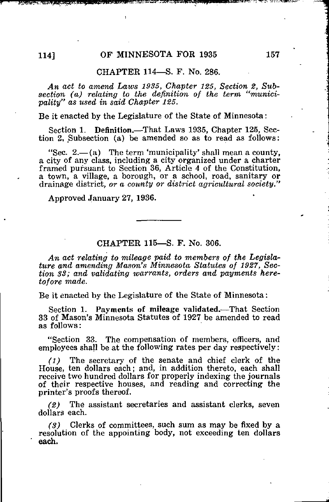## CHAPTER 114—S. F. No. 286.

An act to amend Laws 1935, Chapter 125, Section 2, Subsection (a) relating to the definition of the term "municipality" as used in said Chapter 125.

Be it enacted by the Legislature of the State of Minnesota:

Section 1. Definition.—That Laws 1935, Chapter 125, Section 2. Subsection (a) be amended so as to read as follows:

"Sec.  $2 - (a)$  The term 'municipality' shall mean a county. a city of any class, including a city organized under a charter framed pursuant to Section 36, Article 4 of the Constitution, a town, a village, a borough, or a school, road, sanitary or drainage district, or a county or district agricultural society."

Approved January 27, 1936.

## CHAPTER 115—S. F. No. 306.

An act relating to mileage paid to members of the Legislature and amending Mason's Minnesota Statutes of 1927, Section SB; and validating warrants, orders and payments heretofore made.

Be it enacted by the Legislature of the State of Minnesota:

Section 1. Payments of mileage validated.—That Section 33 of Mason's Minnesota Statutes of 1927 be amended to read as follows:

"Section 33. The compensation of members, officers, and employees shall be at the following rates per day respectively:

(1) The secretary of the senate and chief clerk of the House, ten dollars each; and, in addition thereto, each shall receive two hundred dollars for properly indexing the journals of their respective houses, and reading and correcting the printer's proofs thereof.

(2) The assistant secretaries and assistant clerks, seven dollars each.

 $(3)$  Clerks of committees, such sum as may be fixed by a resolution of the appointing body, not exceeding ten dollars each.